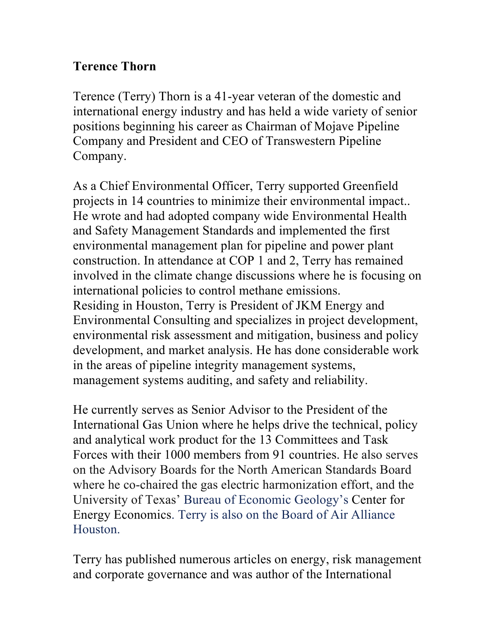## **Terence Thorn**

Terence (Terry) Thorn is a 41-year veteran of the domestic and international energy industry and has held a wide variety of senior positions beginning his career as Chairman of Mojave Pipeline Company and President and CEO of Transwestern Pipeline Company.

As a Chief Environmental Officer, Terry supported Greenfield projects in 14 countries to minimize their environmental impact.. He wrote and had adopted company wide Environmental Health and Safety Management Standards and implemented the first environmental management plan for pipeline and power plant construction. In attendance at COP 1 and 2, Terry has remained involved in the climate change discussions where he is focusing on international policies to control methane emissions. Residing in Houston, Terry is President of JKM Energy and Environmental Consulting and specializes in project development, environmental risk assessment and mitigation, business and policy development, and market analysis. He has done considerable work in the areas of pipeline integrity management systems, management systems auditing, and safety and reliability.

He currently serves as Senior Advisor to the President of the International Gas Union where he helps drive the technical, policy and analytical work product for the 13 Committees and Task Forces with their 1000 members from 91 countries. He also serves on the Advisory Boards for the North American Standards Board where he co-chaired the gas electric harmonization effort, and the University of Texas' Bureau of Economic Geology's Center for Energy Economics. Terry is also on the Board of Air Alliance Houston.

Terry has published numerous articles on energy, risk management and corporate governance and was author of the International